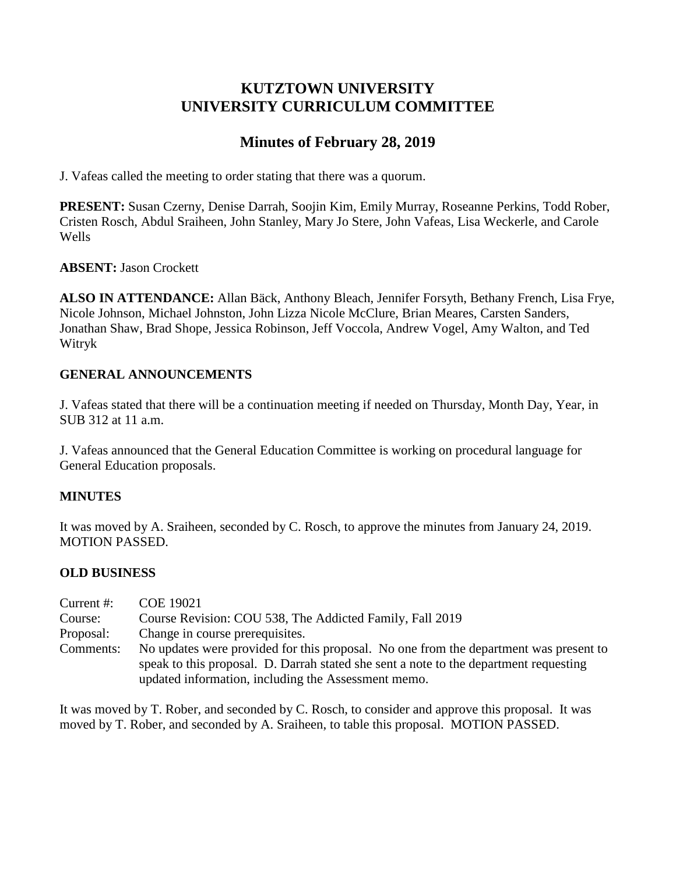# **KUTZTOWN UNIVERSITY UNIVERSITY CURRICULUM COMMITTEE**

# **Minutes of February 28, 2019**

J. Vafeas called the meeting to order stating that there was a quorum.

**PRESENT:** Susan Czerny, Denise Darrah, Soojin Kim, Emily Murray, Roseanne Perkins, Todd Rober, Cristen Rosch, Abdul Sraiheen, John Stanley, Mary Jo Stere, John Vafeas, Lisa Weckerle, and Carole Wells

**ABSENT:** Jason Crockett

**ALSO IN ATTENDANCE:** Allan Bäck, Anthony Bleach, Jennifer Forsyth, Bethany French, Lisa Frye, Nicole Johnson, Michael Johnston, John Lizza Nicole McClure, Brian Meares, Carsten Sanders, Jonathan Shaw, Brad Shope, Jessica Robinson, Jeff Voccola, Andrew Vogel, Amy Walton, and Ted Witryk

### **GENERAL ANNOUNCEMENTS**

J. Vafeas stated that there will be a continuation meeting if needed on Thursday, Month Day, Year, in SUB 312 at 11 a.m.

J. Vafeas announced that the General Education Committee is working on procedural language for General Education proposals.

#### **MINUTES**

It was moved by A. Sraiheen, seconded by C. Rosch, to approve the minutes from January 24, 2019. MOTION PASSED.

# **OLD BUSINESS**

| Current #: | COE 19021                                                                             |
|------------|---------------------------------------------------------------------------------------|
| Course:    | Course Revision: COU 538, The Addicted Family, Fall 2019                              |
| Proposal:  | Change in course prerequisites.                                                       |
| Comments:  | No updates were provided for this proposal. No one from the department was present to |
|            | speak to this proposal. D. Darrah stated she sent a note to the department requesting |
|            | updated information, including the Assessment memo.                                   |

It was moved by T. Rober, and seconded by C. Rosch, to consider and approve this proposal. It was moved by T. Rober, and seconded by A. Sraiheen, to table this proposal. MOTION PASSED.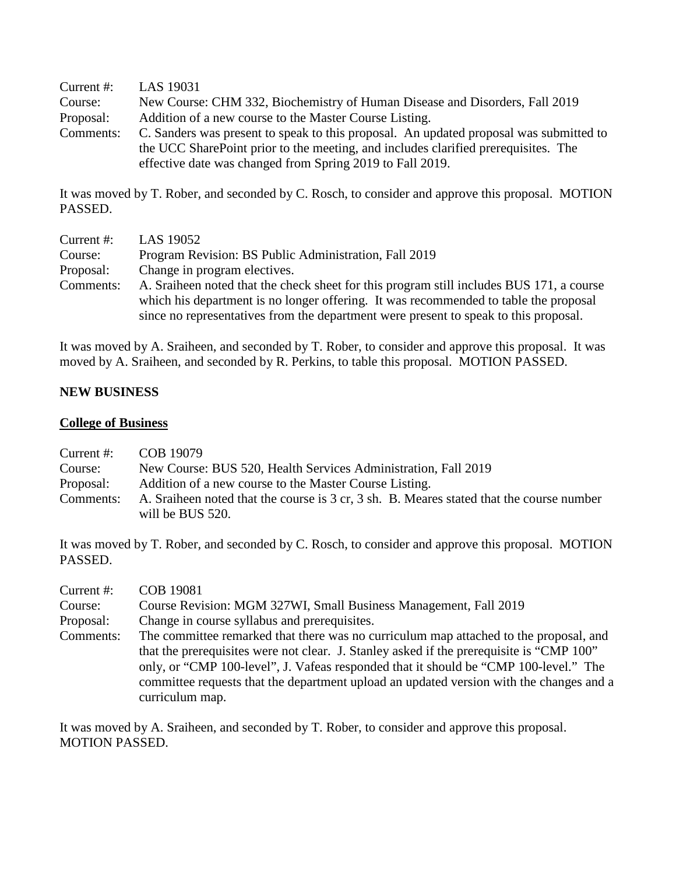Current #: LAS 19031 Course: New Course: CHM 332, Biochemistry of Human Disease and Disorders, Fall 2019 Proposal: Addition of a new course to the Master Course Listing. Comments: C. Sanders was present to speak to this proposal. An updated proposal was submitted to the UCC SharePoint prior to the meeting, and includes clarified prerequisites. The effective date was changed from Spring 2019 to Fall 2019.

It was moved by T. Rober, and seconded by C. Rosch, to consider and approve this proposal. MOTION PASSED.

| Current $#$ : | LAS 19052                                                                                                                                                                        |
|---------------|----------------------------------------------------------------------------------------------------------------------------------------------------------------------------------|
| Course:       | Program Revision: BS Public Administration, Fall 2019                                                                                                                            |
| Proposal:     | Change in program electives.                                                                                                                                                     |
| Comments:     | A. Sraiheen noted that the check sheet for this program still includes BUS 171, a course<br>which his department is no longer offering. It was recommended to table the proposal |
|               | since no representatives from the department were present to speak to this proposal.                                                                                             |

It was moved by A. Sraiheen, and seconded by T. Rober, to consider and approve this proposal. It was moved by A. Sraiheen, and seconded by R. Perkins, to table this proposal. MOTION PASSED.

# **NEW BUSINESS**

### **College of Business**

| Current $#$ : | COB 19079                                                                                |
|---------------|------------------------------------------------------------------------------------------|
| Course:       | New Course: BUS 520, Health Services Administration, Fall 2019                           |
| Proposal:     | Addition of a new course to the Master Course Listing.                                   |
| Comments:     | A. Sraiheen noted that the course is 3 cr, 3 sh. B. Meares stated that the course number |
|               | will be BUS 520.                                                                         |

It was moved by T. Rober, and seconded by C. Rosch, to consider and approve this proposal. MOTION PASSED.

| Current $#$ : | <b>COB 19081</b>                                                                         |
|---------------|------------------------------------------------------------------------------------------|
| Course:       | Course Revision: MGM 327WI, Small Business Management, Fall 2019                         |
| Proposal:     | Change in course syllabus and prerequisites.                                             |
| Comments:     | The committee remarked that there was no curriculum map attached to the proposal, and    |
|               | that the prerequisites were not clear. J. Stanley asked if the prerequisite is "CMP 100" |
|               | only, or "CMP 100-level", J. Vafeas responded that it should be "CMP 100-level." The     |
|               | committee requests that the department upload an updated version with the changes and a  |
|               | curriculum map.                                                                          |

It was moved by A. Sraiheen, and seconded by T. Rober, to consider and approve this proposal. MOTION PASSED.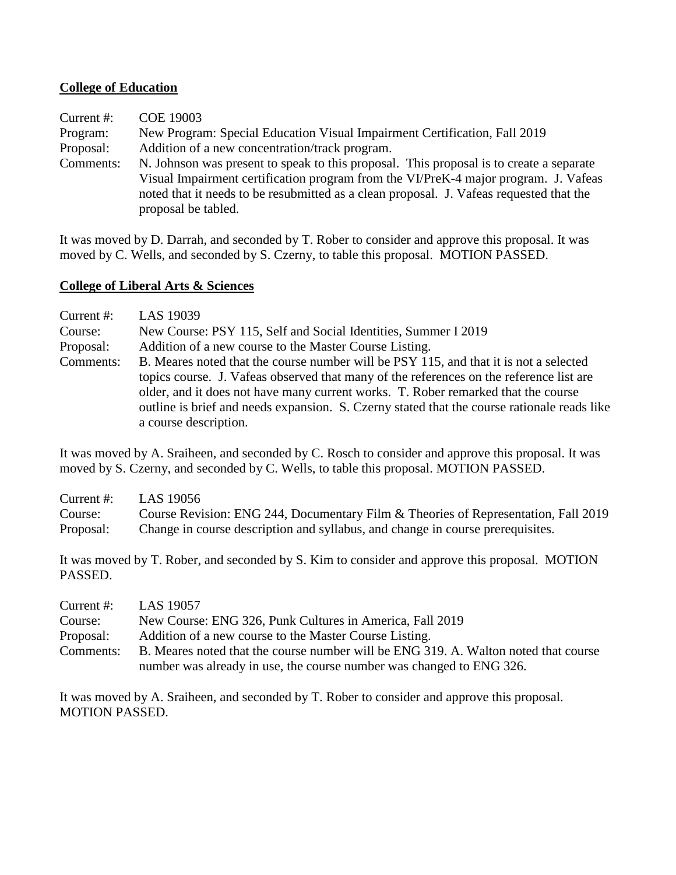#### **College of Education**

Current #: COE 19003 Program: New Program: Special Education Visual Impairment Certification, Fall 2019 Proposal: Addition of a new concentration/track program. Comments: N. Johnson was present to speak to this proposal. This proposal is to create a separate Visual Impairment certification program from the VI/PreK-4 major program. J. Vafeas noted that it needs to be resubmitted as a clean proposal. J. Vafeas requested that the proposal be tabled.

It was moved by D. Darrah, and seconded by T. Rober to consider and approve this proposal. It was moved by C. Wells, and seconded by S. Czerny, to table this proposal. MOTION PASSED.

#### **College of Liberal Arts & Sciences**

| Current $#$ : | LAS 19039                                                                                   |
|---------------|---------------------------------------------------------------------------------------------|
| Course:       | New Course: PSY 115, Self and Social Identities, Summer I 2019                              |
| Proposal:     | Addition of a new course to the Master Course Listing.                                      |
| Comments:     | B. Meares noted that the course number will be PSY 115, and that it is not a selected       |
|               | topics course. J. Vafeas observed that many of the references on the reference list are     |
|               | older, and it does not have many current works. T. Rober remarked that the course           |
|               | outline is brief and needs expansion. S. Czerny stated that the course rationale reads like |
|               | a course description.                                                                       |

It was moved by A. Sraiheen, and seconded by C. Rosch to consider and approve this proposal. It was moved by S. Czerny, and seconded by C. Wells, to table this proposal. MOTION PASSED.

| Current #: | LAS 19056                                                                          |
|------------|------------------------------------------------------------------------------------|
| Course:    | Course Revision: ENG 244, Documentary Film & Theories of Representation, Fall 2019 |
| Proposal:  | Change in course description and syllabus, and change in course prerequisites.     |

It was moved by T. Rober, and seconded by S. Kim to consider and approve this proposal. MOTION PASSED.

| Current $#$ : | LAS 19057                                                                           |
|---------------|-------------------------------------------------------------------------------------|
| Course:       | New Course: ENG 326, Punk Cultures in America, Fall 2019                            |
| Proposal:     | Addition of a new course to the Master Course Listing.                              |
| Comments:     | B. Meares noted that the course number will be ENG 319. A. Walton noted that course |
|               | number was already in use, the course number was changed to ENG 326.                |

It was moved by A. Sraiheen, and seconded by T. Rober to consider and approve this proposal. MOTION PASSED.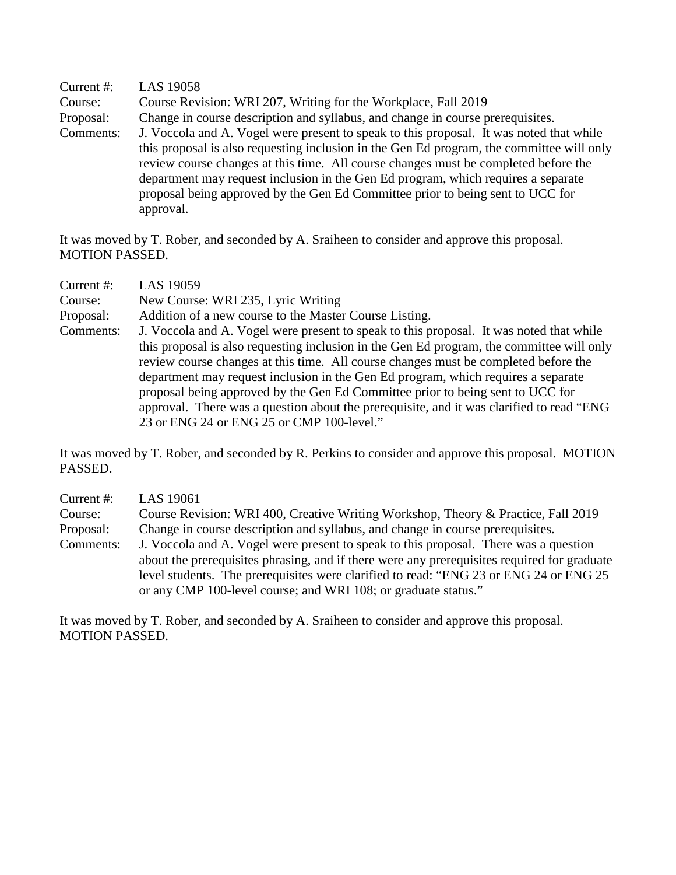Current #: LAS 19058 Course: Course Revision: WRI 207, Writing for the Workplace, Fall 2019 Proposal: Change in course description and syllabus, and change in course prerequisites. Comments: J. Voccola and A. Vogel were present to speak to this proposal. It was noted that while this proposal is also requesting inclusion in the Gen Ed program, the committee will only review course changes at this time. All course changes must be completed before the department may request inclusion in the Gen Ed program, which requires a separate proposal being approved by the Gen Ed Committee prior to being sent to UCC for approval.

It was moved by T. Rober, and seconded by A. Sraiheen to consider and approve this proposal. MOTION PASSED.

Current #: LAS 19059 Course: New Course: WRI 235, Lyric Writing Proposal: Addition of a new course to the Master Course Listing. Comments: J. Voccola and A. Vogel were present to speak to this proposal. It was noted that while this proposal is also requesting inclusion in the Gen Ed program, the committee will only review course changes at this time. All course changes must be completed before the department may request inclusion in the Gen Ed program, which requires a separate proposal being approved by the Gen Ed Committee prior to being sent to UCC for approval. There was a question about the prerequisite, and it was clarified to read "ENG 23 or ENG 24 or ENG 25 or CMP 100-level."

It was moved by T. Rober, and seconded by R. Perkins to consider and approve this proposal. MOTION PASSED.

| Current $#$ : | LAS 19061                                                                                                                                                                                                                                                                    |
|---------------|------------------------------------------------------------------------------------------------------------------------------------------------------------------------------------------------------------------------------------------------------------------------------|
| Course:       | Course Revision: WRI 400, Creative Writing Workshop, Theory & Practice, Fall 2019                                                                                                                                                                                            |
| Proposal:     | Change in course description and syllabus, and change in course prerequisites.                                                                                                                                                                                               |
| Comments:     | J. Voccola and A. Vogel were present to speak to this proposal. There was a question<br>about the prerequisites phrasing, and if there were any prerequisites required for graduate<br>level students. The prerequisites were clarified to read: "ENG 23 or ENG 24 or ENG 25 |
|               | or any CMP 100-level course; and WRI 108; or graduate status."                                                                                                                                                                                                               |

It was moved by T. Rober, and seconded by A. Sraiheen to consider and approve this proposal. MOTION PASSED.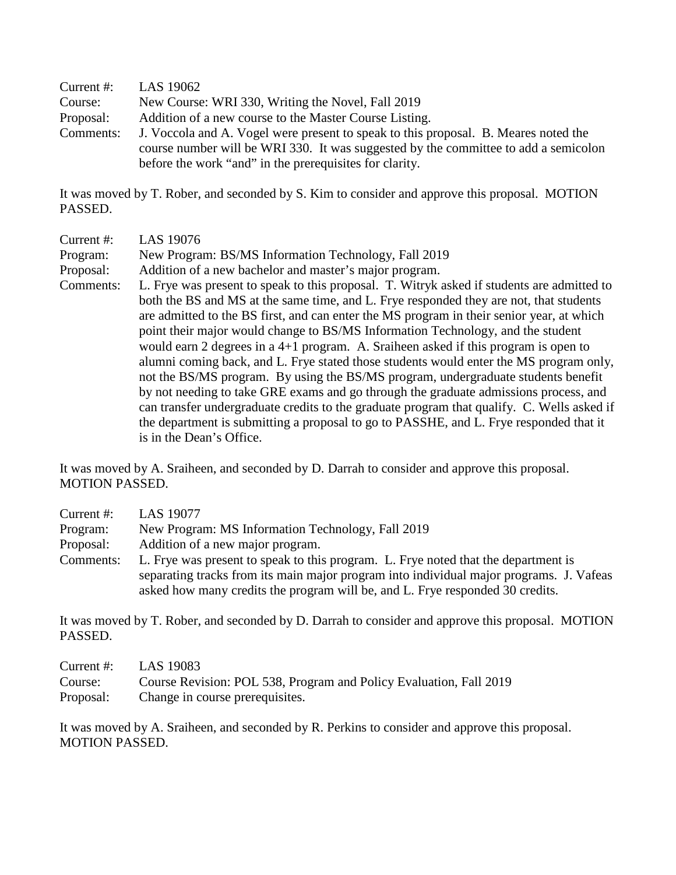Current #: LAS 19062 Course: New Course: WRI 330, Writing the Novel, Fall 2019 Proposal: Addition of a new course to the Master Course Listing. Comments: J. Voccola and A. Vogel were present to speak to this proposal. B. Meares noted the course number will be WRI 330. It was suggested by the committee to add a semicolon before the work "and" in the prerequisites for clarity.

It was moved by T. Rober, and seconded by S. Kim to consider and approve this proposal. MOTION PASSED.

Current #: LAS 19076

Program: New Program: BS/MS Information Technology, Fall 2019

- Proposal: Addition of a new bachelor and master's major program.
- Comments: L. Frye was present to speak to this proposal. T. Witryk asked if students are admitted to both the BS and MS at the same time, and L. Frye responded they are not, that students are admitted to the BS first, and can enter the MS program in their senior year, at which point their major would change to BS/MS Information Technology, and the student would earn 2 degrees in a 4+1 program. A. Sraiheen asked if this program is open to alumni coming back, and L. Frye stated those students would enter the MS program only, not the BS/MS program. By using the BS/MS program, undergraduate students benefit by not needing to take GRE exams and go through the graduate admissions process, and can transfer undergraduate credits to the graduate program that qualify. C. Wells asked if the department is submitting a proposal to go to PASSHE, and L. Frye responded that it is in the Dean's Office.

It was moved by A. Sraiheen, and seconded by D. Darrah to consider and approve this proposal. MOTION PASSED.

| Current #: | LAS 19077                                                                               |
|------------|-----------------------------------------------------------------------------------------|
| Program:   | New Program: MS Information Technology, Fall 2019                                       |
| Proposal:  | Addition of a new major program.                                                        |
| Comments:  | L. Frye was present to speak to this program. L. Frye noted that the department is      |
|            | separating tracks from its main major program into individual major programs. J. Vafeas |
|            | asked how many credits the program will be, and L. Frye responded 30 credits.           |

It was moved by T. Rober, and seconded by D. Darrah to consider and approve this proposal. MOTION PASSED.

| Current #: | LAS 19083                                                          |
|------------|--------------------------------------------------------------------|
| Course:    | Course Revision: POL 538, Program and Policy Evaluation, Fall 2019 |
| Proposal:  | Change in course prerequisites.                                    |

It was moved by A. Sraiheen, and seconded by R. Perkins to consider and approve this proposal. MOTION PASSED.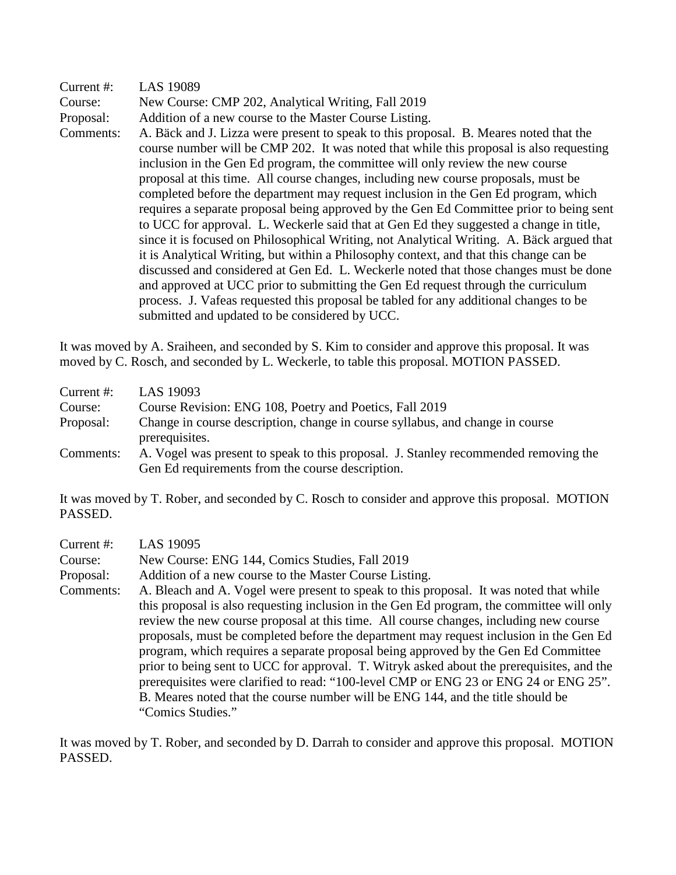Current #: LAS 19089 Course: New Course: CMP 202, Analytical Writing, Fall 2019 Proposal: Addition of a new course to the Master Course Listing. Comments: A. Bäck and J. Lizza were present to speak to this proposal. B. Meares noted that the course number will be CMP 202. It was noted that while this proposal is also requesting inclusion in the Gen Ed program, the committee will only review the new course proposal at this time. All course changes, including new course proposals, must be completed before the department may request inclusion in the Gen Ed program, which requires a separate proposal being approved by the Gen Ed Committee prior to being sent to UCC for approval. L. Weckerle said that at Gen Ed they suggested a change in title, since it is focused on Philosophical Writing, not Analytical Writing. A. Bäck argued that it is Analytical Writing, but within a Philosophy context, and that this change can be discussed and considered at Gen Ed. L. Weckerle noted that those changes must be done and approved at UCC prior to submitting the Gen Ed request through the curriculum process. J. Vafeas requested this proposal be tabled for any additional changes to be submitted and updated to be considered by UCC.

It was moved by A. Sraiheen, and seconded by S. Kim to consider and approve this proposal. It was moved by C. Rosch, and seconded by L. Weckerle, to table this proposal. MOTION PASSED.

| Current $#$ : | LAS 19093                                                                           |
|---------------|-------------------------------------------------------------------------------------|
| Course:       | Course Revision: ENG 108, Poetry and Poetics, Fall 2019                             |
| Proposal:     | Change in course description, change in course syllabus, and change in course       |
|               | prerequisites.                                                                      |
| Comments:     | A. Vogel was present to speak to this proposal. J. Stanley recommended removing the |
|               | Gen Ed requirements from the course description.                                    |

It was moved by T. Rober, and seconded by C. Rosch to consider and approve this proposal. MOTION PASSED.

| Current $#$ : | LAS 19095                                                                                                                                                                                                                                                                                                                                                                                                                                                                                                                                                                                                                                                       |
|---------------|-----------------------------------------------------------------------------------------------------------------------------------------------------------------------------------------------------------------------------------------------------------------------------------------------------------------------------------------------------------------------------------------------------------------------------------------------------------------------------------------------------------------------------------------------------------------------------------------------------------------------------------------------------------------|
| Course:       | New Course: ENG 144, Comics Studies, Fall 2019                                                                                                                                                                                                                                                                                                                                                                                                                                                                                                                                                                                                                  |
| Proposal:     | Addition of a new course to the Master Course Listing.                                                                                                                                                                                                                                                                                                                                                                                                                                                                                                                                                                                                          |
| Comments:     | A. Bleach and A. Vogel were present to speak to this proposal. It was noted that while                                                                                                                                                                                                                                                                                                                                                                                                                                                                                                                                                                          |
|               | this proposal is also requesting inclusion in the Gen Ed program, the committee will only<br>review the new course proposal at this time. All course changes, including new course<br>proposals, must be completed before the department may request inclusion in the Gen Ed<br>program, which requires a separate proposal being approved by the Gen Ed Committee<br>prior to being sent to UCC for approval. T. Witryk asked about the prerequisites, and the<br>prerequisites were clarified to read: "100-level CMP or ENG 23 or ENG 24 or ENG 25".<br>B. Meares noted that the course number will be ENG 144, and the title should be<br>"Comics Studies." |

It was moved by T. Rober, and seconded by D. Darrah to consider and approve this proposal. MOTION PASSED.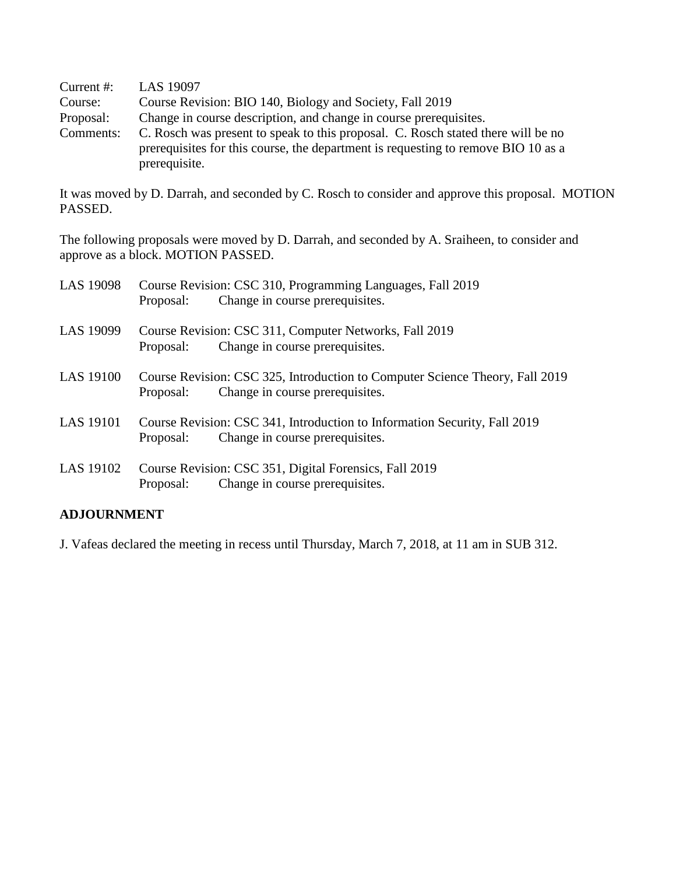| Current $#$ : | <b>LAS 19097</b>                                                                  |
|---------------|-----------------------------------------------------------------------------------|
| Course:       | Course Revision: BIO 140, Biology and Society, Fall 2019                          |
| Proposal:     | Change in course description, and change in course prerequisites.                 |
| Comments:     | C. Rosch was present to speak to this proposal. C. Rosch stated there will be no  |
|               | prerequisites for this course, the department is requesting to remove BIO 10 as a |
|               | prerequisite.                                                                     |

It was moved by D. Darrah, and seconded by C. Rosch to consider and approve this proposal. MOTION PASSED.

The following proposals were moved by D. Darrah, and seconded by A. Sraiheen, to consider and approve as a block. MOTION PASSED.

| LAS 19098        | Proposal: | Course Revision: CSC 310, Programming Languages, Fall 2019<br>Change in course prerequisites.                   |
|------------------|-----------|-----------------------------------------------------------------------------------------------------------------|
| LAS 19099        | Proposal: | Course Revision: CSC 311, Computer Networks, Fall 2019<br>Change in course prerequisites.                       |
| LAS 19100        | Proposal: | Course Revision: CSC 325, Introduction to Computer Science Theory, Fall 2019<br>Change in course prerequisites. |
| <b>LAS 19101</b> | Proposal: | Course Revision: CSC 341, Introduction to Information Security, Fall 2019<br>Change in course prerequisites.    |
| LAS 19102        | Proposal: | Course Revision: CSC 351, Digital Forensics, Fall 2019<br>Change in course prerequisites.                       |

# **ADJOURNMENT**

J. Vafeas declared the meeting in recess until Thursday, March 7, 2018, at 11 am in SUB 312.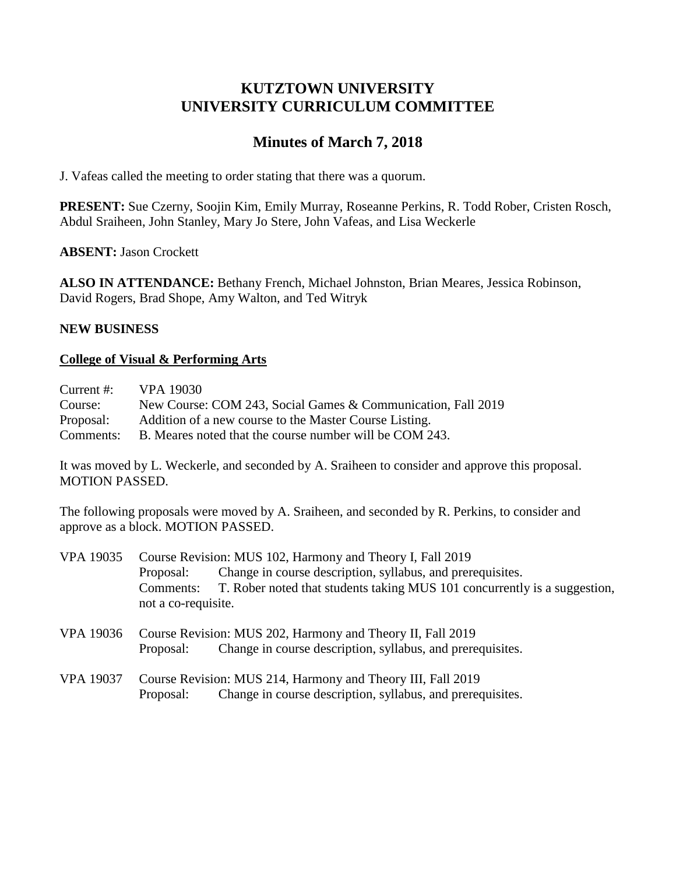# **KUTZTOWN UNIVERSITY UNIVERSITY CURRICULUM COMMITTEE**

# **Minutes of March 7, 2018**

J. Vafeas called the meeting to order stating that there was a quorum.

**PRESENT:** Sue Czerny, Soojin Kim, Emily Murray, Roseanne Perkins, R. Todd Rober, Cristen Rosch, Abdul Sraiheen, John Stanley, Mary Jo Stere, John Vafeas, and Lisa Weckerle

**ABSENT:** Jason Crockett

**ALSO IN ATTENDANCE:** Bethany French, Michael Johnston, Brian Meares, Jessica Robinson, David Rogers, Brad Shope, Amy Walton, and Ted Witryk

### **NEW BUSINESS**

### **College of Visual & Performing Arts**

| Current $#$ : | VPA 19030                                                    |
|---------------|--------------------------------------------------------------|
| Course:       | New Course: COM 243, Social Games & Communication, Fall 2019 |
| Proposal:     | Addition of a new course to the Master Course Listing.       |
| Comments:     | B. Meares noted that the course number will be COM 243.      |

It was moved by L. Weckerle, and seconded by A. Sraiheen to consider and approve this proposal. MOTION PASSED.

The following proposals were moved by A. Sraiheen, and seconded by R. Perkins, to consider and approve as a block. MOTION PASSED.

| VPA 19035        | Course Revision: MUS 102, Harmony and Theory I, Fall 2019<br>Change in course description, syllabus, and prerequisites.<br>Proposal:<br>T. Rober noted that students taking MUS 101 concurrently is a suggestion,<br>Comments:<br>not a co-requisite. |
|------------------|-------------------------------------------------------------------------------------------------------------------------------------------------------------------------------------------------------------------------------------------------------|
| VPA 19036        | Course Revision: MUS 202, Harmony and Theory II, Fall 2019<br>Change in course description, syllabus, and prerequisites.<br>Proposal:                                                                                                                 |
| <b>VPA 19037</b> | Course Revision: MUS 214, Harmony and Theory III, Fall 2019<br>Change in course description, syllabus, and prerequisites.<br>Proposal:                                                                                                                |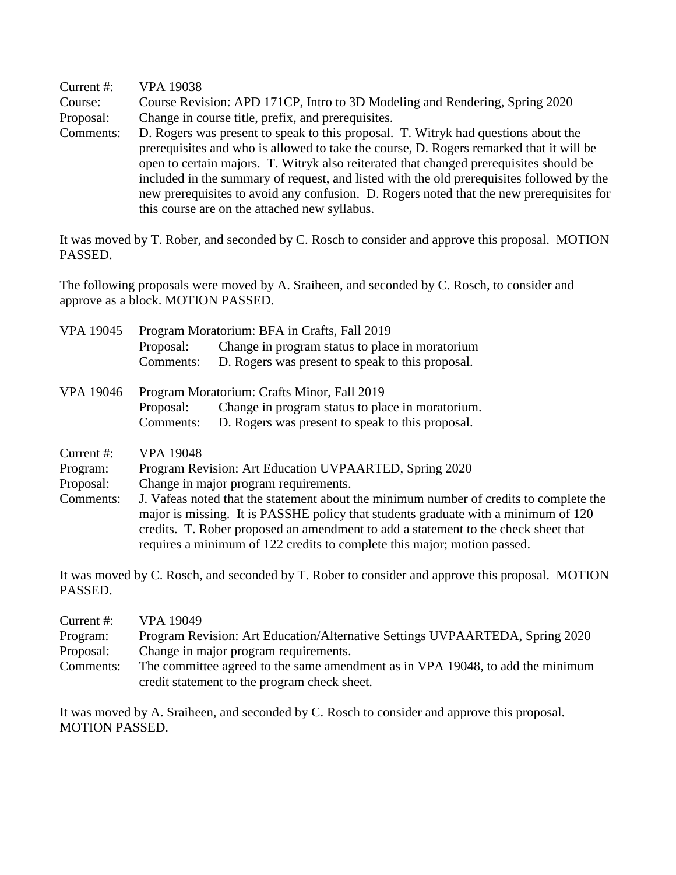Current #: VPA 19038

Course: Course Revision: APD 171CP, Intro to 3D Modeling and Rendering, Spring 2020 Proposal: Change in course title, prefix, and prerequisites.

Comments: D. Rogers was present to speak to this proposal. T. Witryk had questions about the prerequisites and who is allowed to take the course, D. Rogers remarked that it will be open to certain majors. T. Witryk also reiterated that changed prerequisites should be included in the summary of request, and listed with the old prerequisites followed by the new prerequisites to avoid any confusion. D. Rogers noted that the new prerequisites for this course are on the attached new syllabus.

It was moved by T. Rober, and seconded by C. Rosch to consider and approve this proposal. MOTION PASSED.

The following proposals were moved by A. Sraiheen, and seconded by C. Rosch, to consider and approve as a block. MOTION PASSED.

| <b>VPA 19045</b>                                 | Program Moratorium: BFA in Crafts, Fall 2019<br>Change in program status to place in moratorium<br>Proposal:<br>D. Rogers was present to speak to this proposal.<br>Comments:                                                                                                                                                                                                                                                                                         |
|--------------------------------------------------|-----------------------------------------------------------------------------------------------------------------------------------------------------------------------------------------------------------------------------------------------------------------------------------------------------------------------------------------------------------------------------------------------------------------------------------------------------------------------|
| <b>VPA 19046</b>                                 | Program Moratorium: Crafts Minor, Fall 2019<br>Change in program status to place in moratorium.<br>Proposal:<br>D. Rogers was present to speak to this proposal.<br>Comments:                                                                                                                                                                                                                                                                                         |
| Current #:<br>Program:<br>Proposal:<br>Comments: | <b>VPA 19048</b><br>Program Revision: Art Education UVPAARTED, Spring 2020<br>Change in major program requirements.<br>J. Vafeas noted that the statement about the minimum number of credits to complete the<br>major is missing. It is PASSHE policy that students graduate with a minimum of 120<br>credits. T. Rober proposed an amendment to add a statement to the check sheet that<br>requires a minimum of 122 credits to complete this major; motion passed. |

It was moved by C. Rosch, and seconded by T. Rober to consider and approve this proposal. MOTION PASSED.

| Current $#$ : | <b>VPA 19049</b>                                                               |
|---------------|--------------------------------------------------------------------------------|
| Program:      | Program Revision: Art Education/Alternative Settings UVPAARTEDA, Spring 2020   |
| Proposal:     | Change in major program requirements.                                          |
| Comments:     | The committee agreed to the same amendment as in VPA 19048, to add the minimum |
|               | credit statement to the program check sheet.                                   |

It was moved by A. Sraiheen, and seconded by C. Rosch to consider and approve this proposal. MOTION PASSED.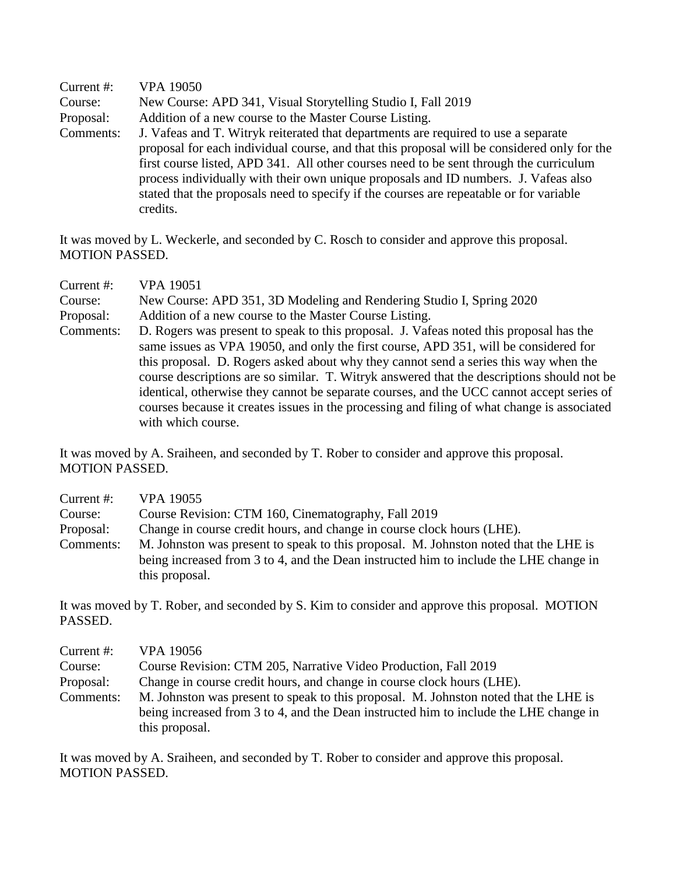| Current #: | <b>VPA 19050</b>                                                                            |
|------------|---------------------------------------------------------------------------------------------|
| Course:    | New Course: APD 341, Visual Storytelling Studio I, Fall 2019                                |
| Proposal:  | Addition of a new course to the Master Course Listing.                                      |
| Comments:  | J. Vafeas and T. Witryk reiterated that departments are required to use a separate          |
|            | proposal for each individual course, and that this proposal will be considered only for the |
|            | first course listed, APD 341. All other courses need to be sent through the curriculum      |
|            | process individually with their own unique proposals and ID numbers. J. Vafeas also         |
|            | stated that the proposals need to specify if the courses are repeatable or for variable     |
|            | credits.                                                                                    |

It was moved by L. Weckerle, and seconded by C. Rosch to consider and approve this proposal. MOTION PASSED.

| Current #: | <b>VPA 19051</b>                                                                                                                                                                                                                                                                                                                                                                                                                                                                                                                                                                       |
|------------|----------------------------------------------------------------------------------------------------------------------------------------------------------------------------------------------------------------------------------------------------------------------------------------------------------------------------------------------------------------------------------------------------------------------------------------------------------------------------------------------------------------------------------------------------------------------------------------|
| Course:    | New Course: APD 351, 3D Modeling and Rendering Studio I, Spring 2020                                                                                                                                                                                                                                                                                                                                                                                                                                                                                                                   |
| Proposal:  | Addition of a new course to the Master Course Listing.                                                                                                                                                                                                                                                                                                                                                                                                                                                                                                                                 |
| Comments:  | D. Rogers was present to speak to this proposal. J. Vafeas noted this proposal has the<br>same issues as VPA 19050, and only the first course, APD 351, will be considered for<br>this proposal. D. Rogers asked about why they cannot send a series this way when the<br>course descriptions are so similar. T. Witryk answered that the descriptions should not be<br>identical, otherwise they cannot be separate courses, and the UCC cannot accept series of<br>courses because it creates issues in the processing and filing of what change is associated<br>with which course. |

It was moved by A. Sraiheen, and seconded by T. Rober to consider and approve this proposal. MOTION PASSED.

| Current #: | <b>VPA 19055</b>                                                                      |
|------------|---------------------------------------------------------------------------------------|
| Course:    | Course Revision: CTM 160, Cinematography, Fall 2019                                   |
| Proposal:  | Change in course credit hours, and change in course clock hours (LHE).                |
| Comments:  | M. Johnston was present to speak to this proposal. M. Johnston noted that the LHE is  |
|            | being increased from 3 to 4, and the Dean instructed him to include the LHE change in |
|            | this proposal.                                                                        |

It was moved by T. Rober, and seconded by S. Kim to consider and approve this proposal. MOTION PASSED.

| Current $#$ : | <b>VPA 19056</b>                                                                                                                                                              |
|---------------|-------------------------------------------------------------------------------------------------------------------------------------------------------------------------------|
| Course:       | Course Revision: CTM 205, Narrative Video Production, Fall 2019                                                                                                               |
| Proposal:     | Change in course credit hours, and change in course clock hours (LHE).                                                                                                        |
| Comments:     | M. Johnston was present to speak to this proposal. M. Johnston noted that the LHE is<br>being increased from 3 to 4, and the Dean instructed him to include the LHE change in |
|               | this proposal.                                                                                                                                                                |

It was moved by A. Sraiheen, and seconded by T. Rober to consider and approve this proposal. MOTION PASSED.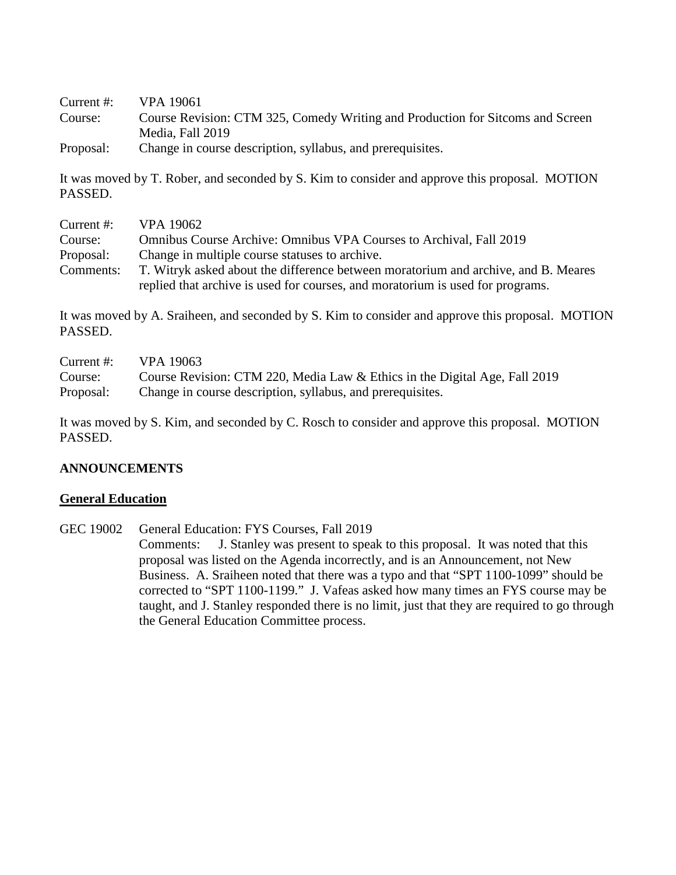Current #: VPA 19061 Course: Course Revision: CTM 325, Comedy Writing and Production for Sitcoms and Screen Media, Fall 2019

Proposal: Change in course description, syllabus, and prerequisites.

It was moved by T. Rober, and seconded by S. Kim to consider and approve this proposal. MOTION PASSED.

| Current $#$ : | VPA 19062                                                                          |
|---------------|------------------------------------------------------------------------------------|
| Course:       | <b>Omnibus Course Archive: Omnibus VPA Courses to Archival, Fall 2019</b>          |
| Proposal:     | Change in multiple course statuses to archive.                                     |
| Comments:     | T. Witryk asked about the difference between moratorium and archive, and B. Meares |
|               | replied that archive is used for courses, and moratorium is used for programs.     |

It was moved by A. Sraiheen, and seconded by S. Kim to consider and approve this proposal. MOTION PASSED.

| Current $#$ : | VPA 19063                                                                  |
|---------------|----------------------------------------------------------------------------|
| Course:       | Course Revision: CTM 220, Media Law & Ethics in the Digital Age, Fall 2019 |
| Proposal:     | Change in course description, syllabus, and prerequisites.                 |

It was moved by S. Kim, and seconded by C. Rosch to consider and approve this proposal. MOTION PASSED.

# **ANNOUNCEMENTS**

# **General Education**

GEC 19002 General Education: FYS Courses, Fall 2019 Comments: J. Stanley was present to speak to this proposal. It was noted that this proposal was listed on the Agenda incorrectly, and is an Announcement, not New Business. A. Sraiheen noted that there was a typo and that "SPT 1100-1099" should be corrected to "SPT 1100-1199." J. Vafeas asked how many times an FYS course may be taught, and J. Stanley responded there is no limit, just that they are required to go through the General Education Committee process.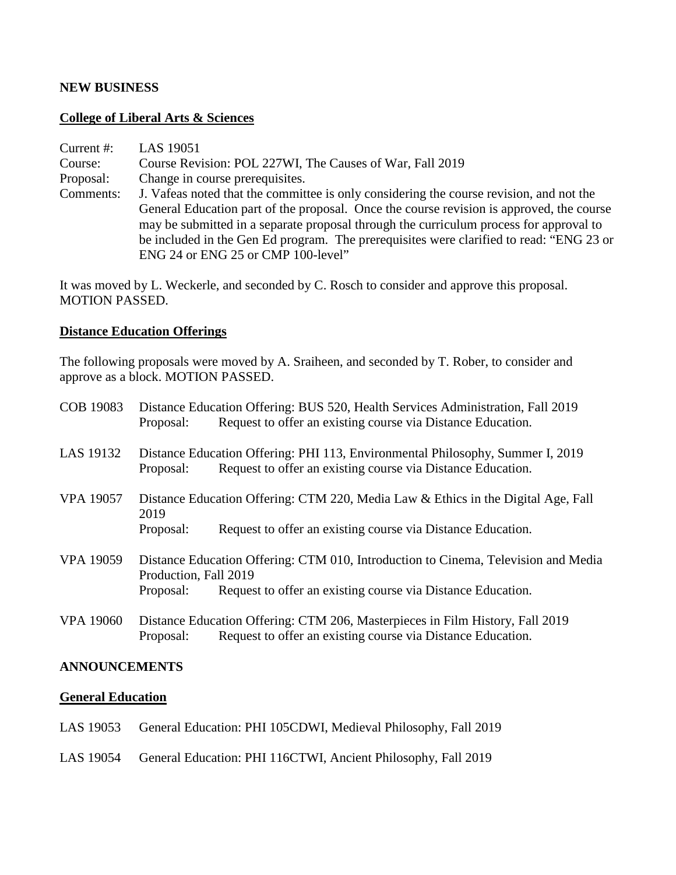#### **NEW BUSINESS**

#### **College of Liberal Arts & Sciences**

| Current $#$ : | LAS 19051                                                                                |  |  |
|---------------|------------------------------------------------------------------------------------------|--|--|
| Course:       | Course Revision: POL 227WI, The Causes of War, Fall 2019                                 |  |  |
| Proposal:     | Change in course prerequisites.                                                          |  |  |
| Comments:     | J. Vafeas noted that the committee is only considering the course revision, and not the  |  |  |
|               | General Education part of the proposal. Once the course revision is approved, the course |  |  |
|               | may be submitted in a separate proposal through the curriculum process for approval to   |  |  |
|               | be included in the Gen Ed program. The prerequisites were clarified to read: "ENG 23 or  |  |  |
|               | ENG 24 or ENG 25 or CMP 100-level"                                                       |  |  |

It was moved by L. Weckerle, and seconded by C. Rosch to consider and approve this proposal. MOTION PASSED.

### **Distance Education Offerings**

The following proposals were moved by A. Sraiheen, and seconded by T. Rober, to consider and approve as a block. MOTION PASSED.

| <b>COB 19083</b> | Proposal:                                                                                                                                                                               | Distance Education Offering: BUS 520, Health Services Administration, Fall 2019<br>Request to offer an existing course via Distance Education.   |  |
|------------------|-----------------------------------------------------------------------------------------------------------------------------------------------------------------------------------------|--------------------------------------------------------------------------------------------------------------------------------------------------|--|
| LAS 19132        | Proposal:                                                                                                                                                                               | Distance Education Offering: PHI 113, Environmental Philosophy, Summer I, 2019<br>Request to offer an existing course via Distance Education.    |  |
| <b>VPA 19057</b> | 2019<br>Proposal:                                                                                                                                                                       | Distance Education Offering: CTM 220, Media Law & Ethics in the Digital Age, Fall<br>Request to offer an existing course via Distance Education. |  |
| <b>VPA 19059</b> | Distance Education Offering: CTM 010, Introduction to Cinema, Television and Media<br>Production, Fall 2019<br>Request to offer an existing course via Distance Education.<br>Proposal: |                                                                                                                                                  |  |
| <b>VPA 19060</b> | Proposal:                                                                                                                                                                               | Distance Education Offering: CTM 206, Masterpieces in Film History, Fall 2019<br>Request to offer an existing course via Distance Education.     |  |

#### **ANNOUNCEMENTS**

#### **General Education**

- LAS 19053 General Education: PHI 105CDWI, Medieval Philosophy, Fall 2019
- LAS 19054 General Education: PHI 116CTWI, Ancient Philosophy, Fall 2019